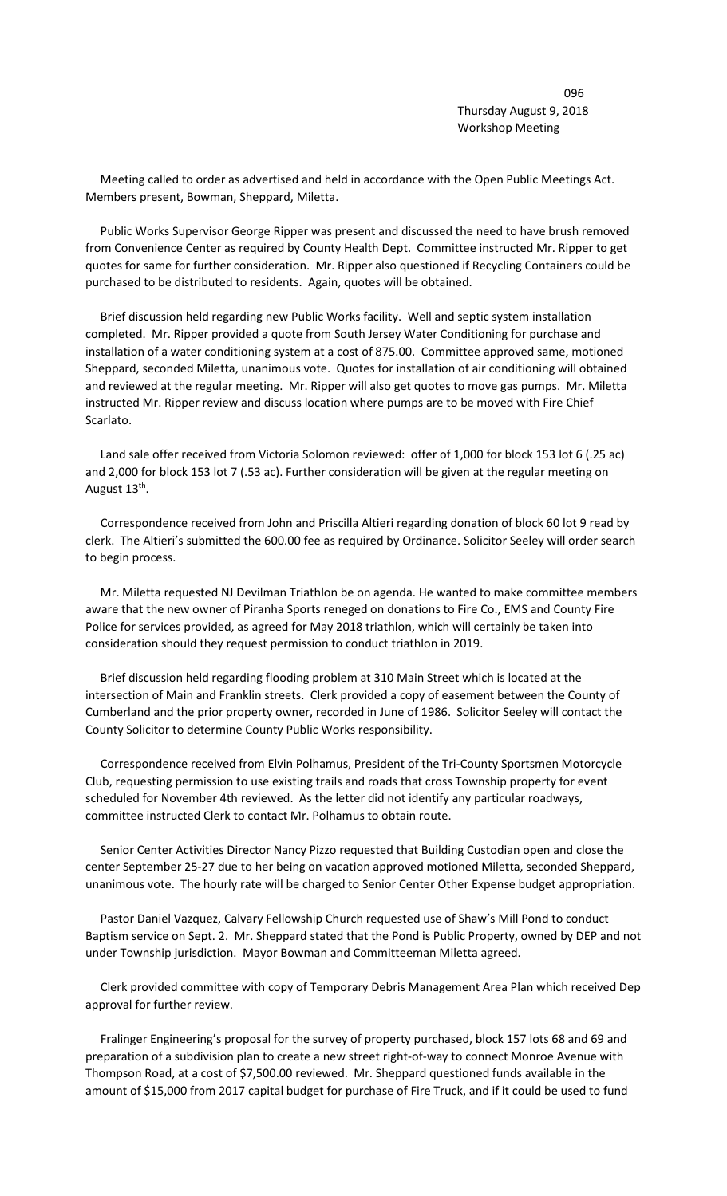de la construcción de la construcción de la construcción de la construcción de la construcción de la construcc Thursday August 9, 2018 Workshop Meeting

 Meeting called to order as advertised and held in accordance with the Open Public Meetings Act. Members present, Bowman, Sheppard, Miletta.

 Public Works Supervisor George Ripper was present and discussed the need to have brush removed from Convenience Center as required by County Health Dept. Committee instructed Mr. Ripper to get quotes for same for further consideration. Mr. Ripper also questioned if Recycling Containers could be purchased to be distributed to residents. Again, quotes will be obtained.

 Brief discussion held regarding new Public Works facility. Well and septic system installation completed. Mr. Ripper provided a quote from South Jersey Water Conditioning for purchase and installation of a water conditioning system at a cost of 875.00. Committee approved same, motioned Sheppard, seconded Miletta, unanimous vote. Quotes for installation of air conditioning will obtained and reviewed at the regular meeting. Mr. Ripper will also get quotes to move gas pumps. Mr. Miletta instructed Mr. Ripper review and discuss location where pumps are to be moved with Fire Chief Scarlato.

 Land sale offer received from Victoria Solomon reviewed: offer of 1,000 for block 153 lot 6 (.25 ac) and 2,000 for block 153 lot 7 (.53 ac). Further consideration will be given at the regular meeting on August 13<sup>th</sup>.

 Correspondence received from John and Priscilla Altieri regarding donation of block 60 lot 9 read by clerk. The Altieri's submitted the 600.00 fee as required by Ordinance. Solicitor Seeley will order search to begin process.

 Mr. Miletta requested NJ Devilman Triathlon be on agenda. He wanted to make committee members aware that the new owner of Piranha Sports reneged on donations to Fire Co., EMS and County Fire Police for services provided, as agreed for May 2018 triathlon, which will certainly be taken into consideration should they request permission to conduct triathlon in 2019.

 Brief discussion held regarding flooding problem at 310 Main Street which is located at the intersection of Main and Franklin streets. Clerk provided a copy of easement between the County of Cumberland and the prior property owner, recorded in June of 1986. Solicitor Seeley will contact the County Solicitor to determine County Public Works responsibility.

 Correspondence received from Elvin Polhamus, President of the Tri-County Sportsmen Motorcycle Club, requesting permission to use existing trails and roads that cross Township property for event scheduled for November 4th reviewed. As the letter did not identify any particular roadways, committee instructed Clerk to contact Mr. Polhamus to obtain route.

 Senior Center Activities Director Nancy Pizzo requested that Building Custodian open and close the center September 25-27 due to her being on vacation approved motioned Miletta, seconded Sheppard, unanimous vote. The hourly rate will be charged to Senior Center Other Expense budget appropriation.

 Pastor Daniel Vazquez, Calvary Fellowship Church requested use of Shaw's Mill Pond to conduct Baptism service on Sept. 2. Mr. Sheppard stated that the Pond is Public Property, owned by DEP and not under Township jurisdiction. Mayor Bowman and Committeeman Miletta agreed.

 Clerk provided committee with copy of Temporary Debris Management Area Plan which received Dep approval for further review.

 Fralinger Engineering's proposal for the survey of property purchased, block 157 lots 68 and 69 and preparation of a subdivision plan to create a new street right-of-way to connect Monroe Avenue with Thompson Road, at a cost of \$7,500.00 reviewed. Mr. Sheppard questioned funds available in the amount of \$15,000 from 2017 capital budget for purchase of Fire Truck, and if it could be used to fund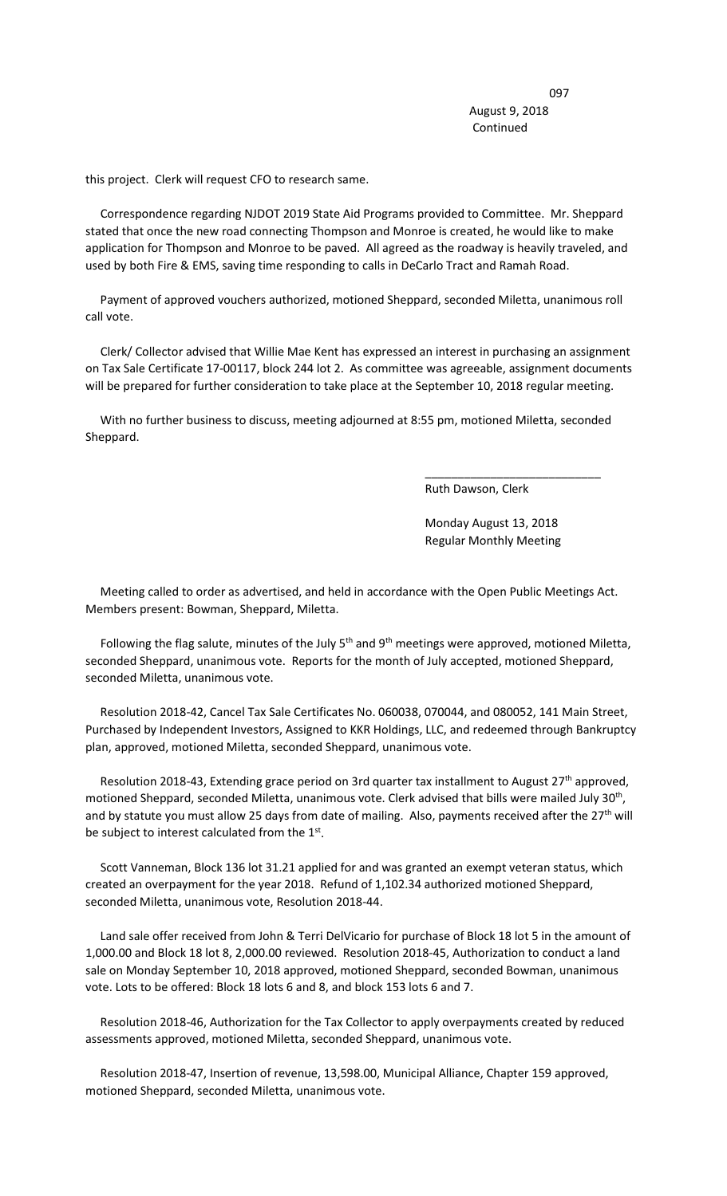<u>097 - Johann Stein, amerikansk politik (</u> August 9, 2018 Continued

this project. Clerk will request CFO to research same.

 Correspondence regarding NJDOT 2019 State Aid Programs provided to Committee. Mr. Sheppard stated that once the new road connecting Thompson and Monroe is created, he would like to make application for Thompson and Monroe to be paved. All agreed as the roadway is heavily traveled, and used by both Fire & EMS, saving time responding to calls in DeCarlo Tract and Ramah Road.

 Payment of approved vouchers authorized, motioned Sheppard, seconded Miletta, unanimous roll call vote.

 Clerk/ Collector advised that Willie Mae Kent has expressed an interest in purchasing an assignment on Tax Sale Certificate 17-00117, block 244 lot 2. As committee was agreeable, assignment documents will be prepared for further consideration to take place at the September 10, 2018 regular meeting.

 With no further business to discuss, meeting adjourned at 8:55 pm, motioned Miletta, seconded Sheppard.

 $\overline{\phantom{a}}$  , and the contract of the contract of the contract of the contract of the contract of the contract of the contract of the contract of the contract of the contract of the contract of the contract of the contrac

Ruth Dawson, Clerk

 Monday August 13, 2018 Regular Monthly Meeting

 Meeting called to order as advertised, and held in accordance with the Open Public Meetings Act. Members present: Bowman, Sheppard, Miletta.

Following the flag salute, minutes of the July 5<sup>th</sup> and 9<sup>th</sup> meetings were approved, motioned Miletta, seconded Sheppard, unanimous vote. Reports for the month of July accepted, motioned Sheppard, seconded Miletta, unanimous vote.

 Resolution 2018-42, Cancel Tax Sale Certificates No. 060038, 070044, and 080052, 141 Main Street, Purchased by Independent Investors, Assigned to KKR Holdings, LLC, and redeemed through Bankruptcy plan, approved, motioned Miletta, seconded Sheppard, unanimous vote.

Resolution 2018-43, Extending grace period on 3rd quarter tax installment to August 27<sup>th</sup> approved, motioned Sheppard, seconded Miletta, unanimous vote. Clerk advised that bills were mailed July 30<sup>th</sup>, and by statute you must allow 25 days from date of mailing. Also, payments received after the 27<sup>th</sup> will be subject to interest calculated from the 1st.

 Scott Vanneman, Block 136 lot 31.21 applied for and was granted an exempt veteran status, which created an overpayment for the year 2018. Refund of 1,102.34 authorized motioned Sheppard, seconded Miletta, unanimous vote, Resolution 2018-44.

 Land sale offer received from John & Terri DelVicario for purchase of Block 18 lot 5 in the amount of 1,000.00 and Block 18 lot 8, 2,000.00 reviewed. Resolution 2018-45, Authorization to conduct a land sale on Monday September 10, 2018 approved, motioned Sheppard, seconded Bowman, unanimous vote. Lots to be offered: Block 18 lots 6 and 8, and block 153 lots 6 and 7.

 Resolution 2018-46, Authorization for the Tax Collector to apply overpayments created by reduced assessments approved, motioned Miletta, seconded Sheppard, unanimous vote.

 Resolution 2018-47, Insertion of revenue, 13,598.00, Municipal Alliance, Chapter 159 approved, motioned Sheppard, seconded Miletta, unanimous vote.